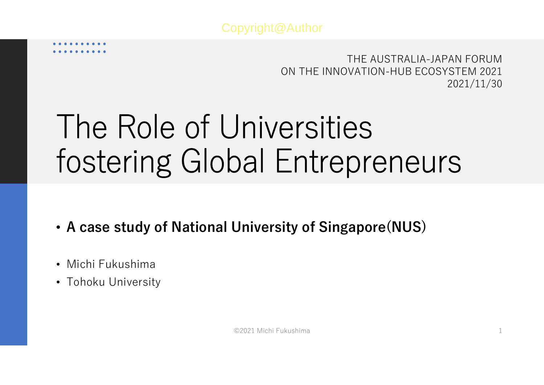THE AUSTRALIA-JAPAN FORUMON THE INNOVATION-HUB ECOSYSTEM 20212021/11/30

# The Role of Universities fostering Global Entrepreneurs

- •**A case study of National University of Singapore(NUS)**
- Michi Fukushima
- Tohoku University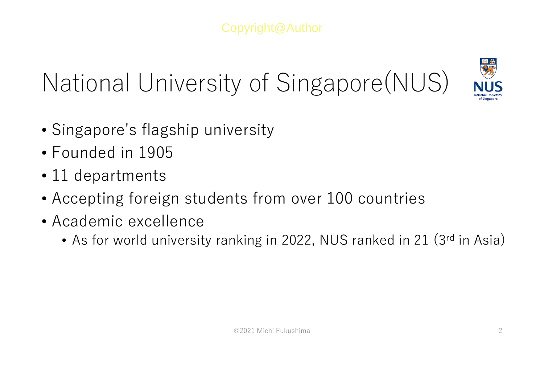## National University of Singapore(NUS)



- Singapore's flagship university
- Founded in 1905
- 11 departments
- Accepting foreign students from over 100 countries
- Academic excellence
	- •• As for world university ranking in 2022, NUS ranked in 21 (3rd in Asia)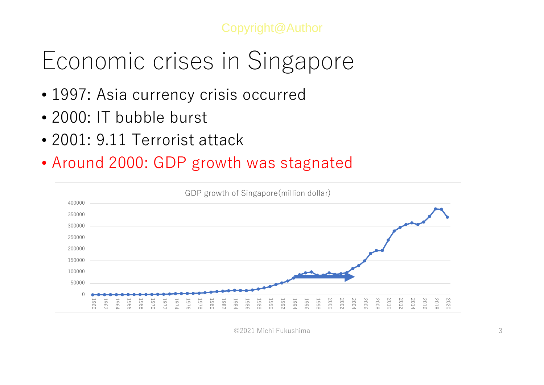#### Economic crises in Singapore

- 1997: Asia currency crisis occurred
- 2000: IT bubble burst
- 2001: 9.11 Terrorist attack
- Around 2000: GDP growth was stagnated



©2021 Michi Fukushima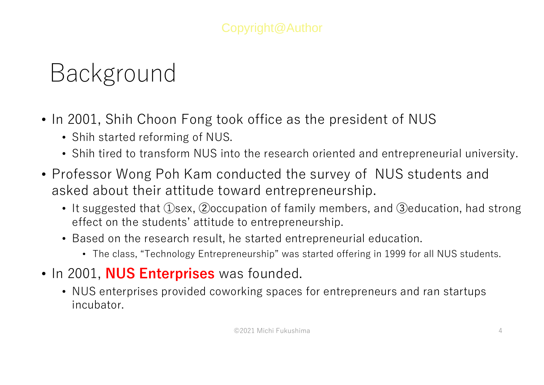### Background

- In 2001, Shih Choon Fong took office as the president of NUS
	- Shih started reforming of NUS.
	- Shih tired to transform NUS into the research oriented and entrepreneurial university.
- Professor Wong Poh Kam conducted the survey of NUS students and asked about their attitude toward entrepreneurship.
	- It suggested that ①sex, ②occupation of family members, and ③education, had strong effect on the students' attitude to entrepreneurship.
	- Based on the research result, he started entrepreneurial education.
		- The class, "Technology Entrepreneurship" was started offering in 1999 for all NUS students.
- In 2001, **NUS Enterprises** was founded.
	- NUS enterprises provided coworking spaces for entrepreneurs and ran startups incubator.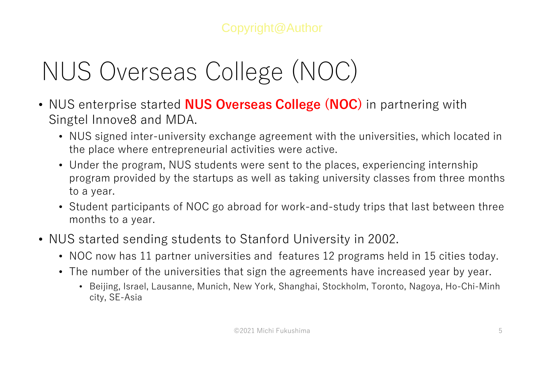## NUS Overseas College (NOC)

- NUS enterprise started **NUS Overseas College (NOC)** in partnering with Singtel Innove8 and MDA.
	- NUS signed inter-university exchange agreement with the universities, which located in the place where entrepreneurial activities were active.
	- Under the program, NUS students were sent to the places, experiencing internship program provided by the startups as well as taking university classes from three months to a year.
	- Student participants of NOC go abroad for work-and-study trips that last between three months to a year.
- NUS started sending students to Stanford University in 2002.
	- NOC now has 11 partner universities and features 12 programs held in 15 cities today.
	- The number of the universities that sign the agreements have increased year by year.
		- Beijing, Israel, Lausanne, Munich, New York, Shanghai, Stockholm, Toronto, Nagoya, Ho-Chi-Minh city, SE-Asia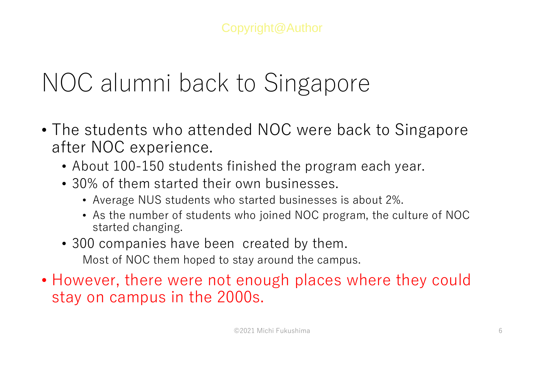### NOC alumni back to Singapore

- The students who attended NOC were back to Singapore after NOC experience.
	- About 100-150 students finished the program each year.
	- 30% of them started their own businesses.
		- Average NUS students who started businesses is about 2%.
		- As the number of students who joined NOC program, the culture of NOC started changing.
	- 300 companies have been created by them. Most of NOC them hoped to stay around the campus.
- However, there were not enough places where they could stay on campus in the 2000s.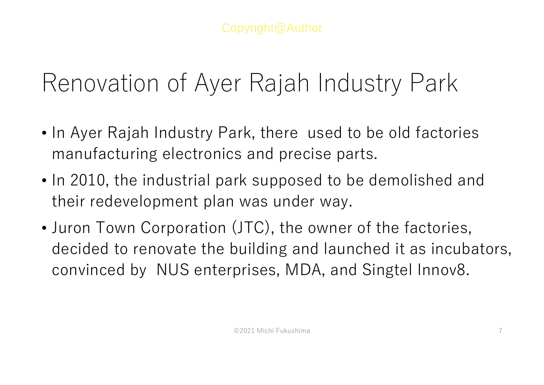#### Renovation of Ayer Rajah Industry Park

- In Ayer Rajah Industry Park, there used to be old factories manufacturing electronics and precise parts.
- In 2010, the industrial park supposed to be demolished and their redevelopment plan was under way.
- • Juron Town Corporation (JTC), the owner of the factories, decided to renovate the building and launched it as incubators, convinced by NUS enterprises, MDA, and Singtel Innov8.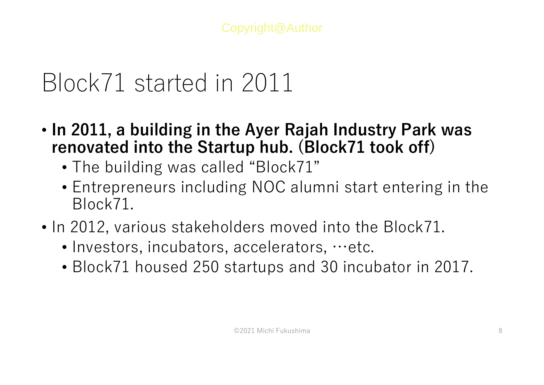#### Block71 started in 2011

- **In 2011, a building in the Ayer Rajah Industry Park was renovated into the Startup hub. (Block71 took off)** 
	- The building was called "Block71"
	- Entrepreneurs including NOC alumni start entering in the Block71.
- In 2012, various stakeholders moved into the Block71.
	- Investors, incubators, accelerators, …etc.
	- Block71 housed 250 startups and 30 incubator in 2017.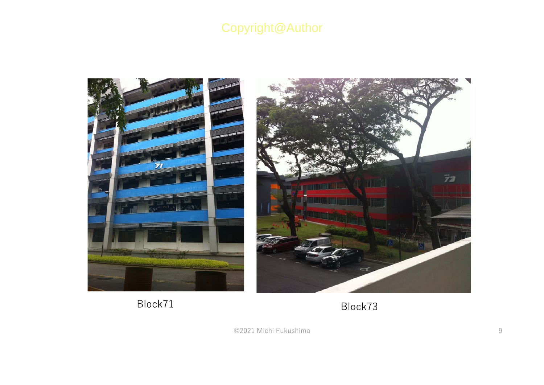

Block71

Block73

©2021 Michi Fukushimaa 9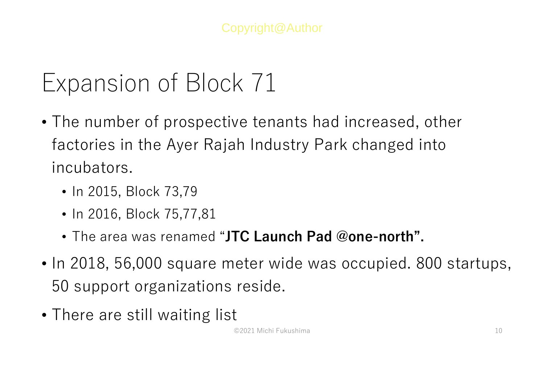#### Expansion of Block 71

- The number of prospective tenants had increased, other factories in the Ayer Rajah Industry Park changed into incubators.
	- In 2015, Block 73,79
	- In 2016, Block 75,77,81
	- The area was renamed "**JTC Launch Pad @one-north".**
- In 2018, 56,000 square meter wide was occupied. 800 startups, 50 support organizations reside.
- There are still waiting list

©2021 Michi Fukushima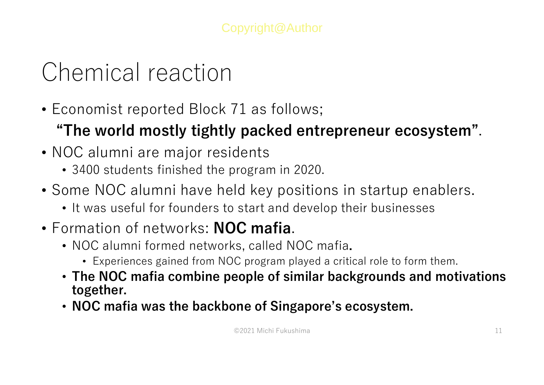### Chemical reaction

- Economist reported Block 71 as follows;
	- **"The world mostly tightly packed entrepreneur ecosystem"**.
- NOC alumni are major residents
	- 3400 students finished the program in 2020.
- Some NOC alumni have held key positions in startup enablers.
	- It was useful for founders to start and develop their businesses
- Formation of networks: **NOC mafia**.
	- NOC alumni formed networks, called NOC mafia**.**
		- Experiences gained from NOC program played a critical role to form them.
	- **The NOC mafia combine people of similar backgrounds and motivations together.**
	- **NOC mafia was the backbone of Singapore's ecosystem.**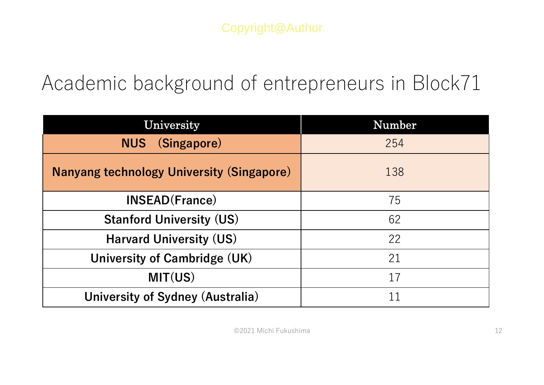#### Academic background of entrepreneurs in Block71

| University                                       | Number |
|--------------------------------------------------|--------|
| <b>NUS</b> (Singapore)                           | 254    |
| <b>Nanyang technology University (Singapore)</b> | 138    |
| <b>INSEAD(France)</b>                            | 75     |
| <b>Stanford University (US)</b>                  | 62     |
| <b>Harvard University (US)</b>                   | 22     |
| University of Cambridge (UK)                     | 21     |
| MIT(US)                                          | 17     |
| University of Sydney (Australia)                 |        |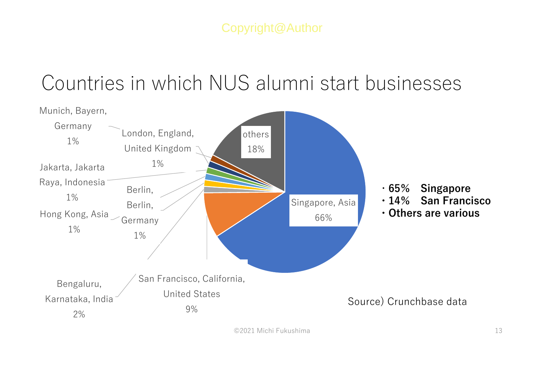#### Countries in which NUS alumni start businesses

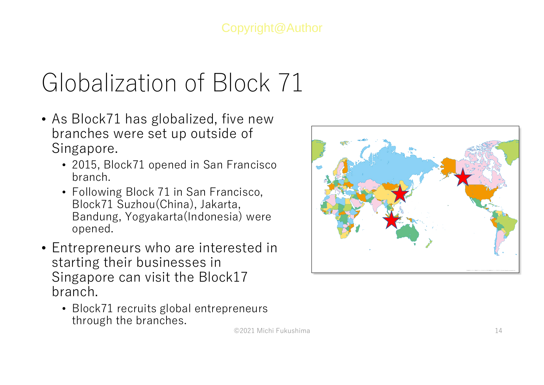## Globalization of Block 71

- As Block71 has globalized, five new branches were set up outside of Singapore.
	- 2015, Block71 opened in San Francisco branch.
	- Following Block 71 in San Francisco, Block71 Suzhou(China), Jakarta, Bandung, Yogyakarta(Indonesia) were opened.
- Entrepreneurs who are interested in starting their businesses in Singapore can visit the Block17 branch.
	- Block71 recruits global entrepreneurs through the branches.

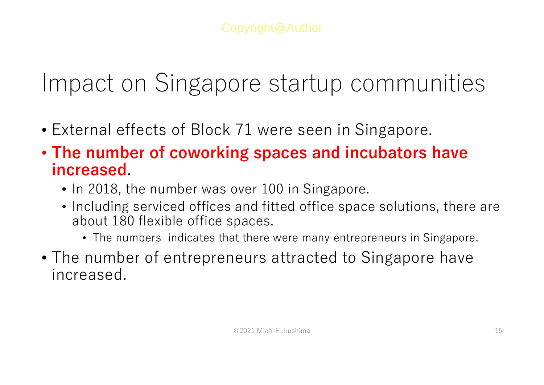#### Impact on Singapore startup communities

- External effects of Block 71 were seen in Singapore.
- **The number of coworking spaces and incubators have increased**.
	- In 2018, the number was over 100 in Singapore.
	- Including serviced offices and fitted office space solutions, there are about 180 flexible office spaces.
		- The numbers indicates that there were many entrepreneurs in Singapore.
- The number of entrepreneurs attracted to Singapore have increased.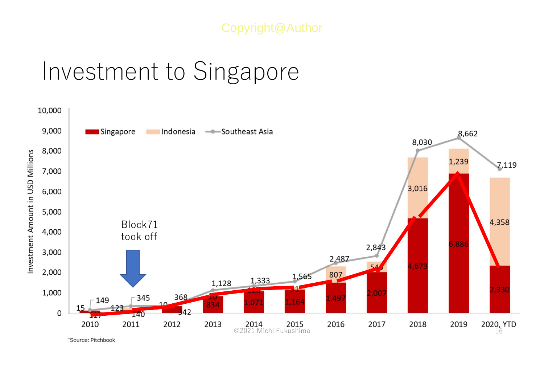#### Investment to Singapore

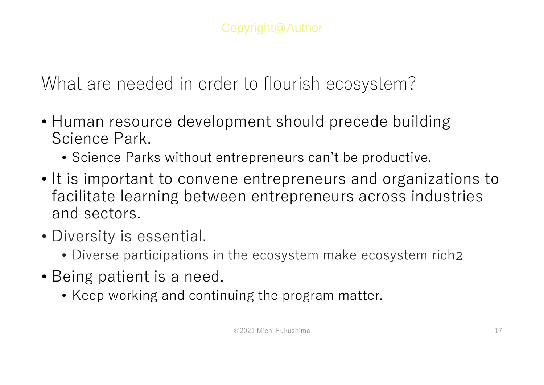What are needed in order to flourish ecosystem?

- Human resource development should precede building Science Park.
	- Science Parks without entrepreneurs can't be productive.
- It is important to convene entrepreneurs and organizations to facilitate learning between entrepreneurs across industries and sectors.
- Diversity is essential.
	- Diverse participations in the ecosystem make ecosystem rich
- Being patient is a need.
	- Keep working and continuing the program matter.